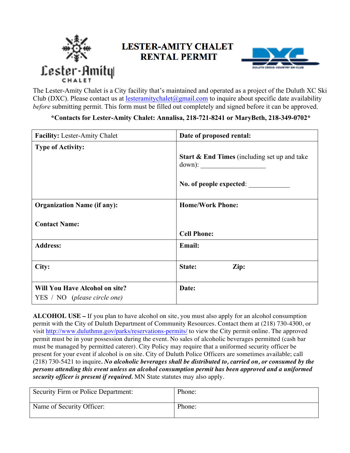

## **LESTER-AMITY CHALET RENTAL PERMIT**



The Lester-Amity Chalet is a City facility that's maintained and operated as a project of the Duluth XC Ski Club (DXC). Please contact us at lesteramitychalet@gmail.com to inquire about specific date availability *before* submitting permit. This form must be filled out completely and signed before it can be approved.

#### **\*Contacts for Lester-Amity Chalet: Annalisa, 218-721-8241 or MaryBeth, 218-349-0702\***

| <b>Facility:</b> Lester-Amity Chalet                                  | Date of proposed rental:                                |
|-----------------------------------------------------------------------|---------------------------------------------------------|
| <b>Type of Activity:</b>                                              | <b>Start &amp; End Times</b> (including set up and take |
|                                                                       | No. of people expected:                                 |
| <b>Organization Name (if any):</b>                                    | <b>Home/Work Phone:</b>                                 |
| <b>Contact Name:</b>                                                  | <b>Cell Phone:</b>                                      |
| <b>Address:</b>                                                       | Email:                                                  |
| City:                                                                 | Zip:<br>State:                                          |
| <b>Will You Have Alcohol on site?</b><br>YES / NO (please circle one) | Date:                                                   |

**ALCOHOL USE –** If you plan to have alcohol on site, you must also apply for an alcohol consumption permit with the City of Duluth Department of Community Resources. Contact them at (218) 730-4300, or visit http://www.duluthmn.gov/parks/reservations-permits/ to view the City permit online. The approved permit must be in your possession during the event. No sales of alcoholic beverages permitted (cash bar must be managed by permitted caterer). City Policy may require that a uniformed security officer be present for your event if alcohol is on site. City of Duluth Police Officers are sometimes available; call (218) 730-5421 to inquire*. No alcoholic beverages shall be distributed to, carried on, or consumed by the persons attending this event unless an alcohol consumption permit has been approved and a uniformed security officer is present if required.* MN State statutes may also apply.

| Security Firm or Police Department: | Phone: |
|-------------------------------------|--------|
| Name of Security Officer:           | Phone: |